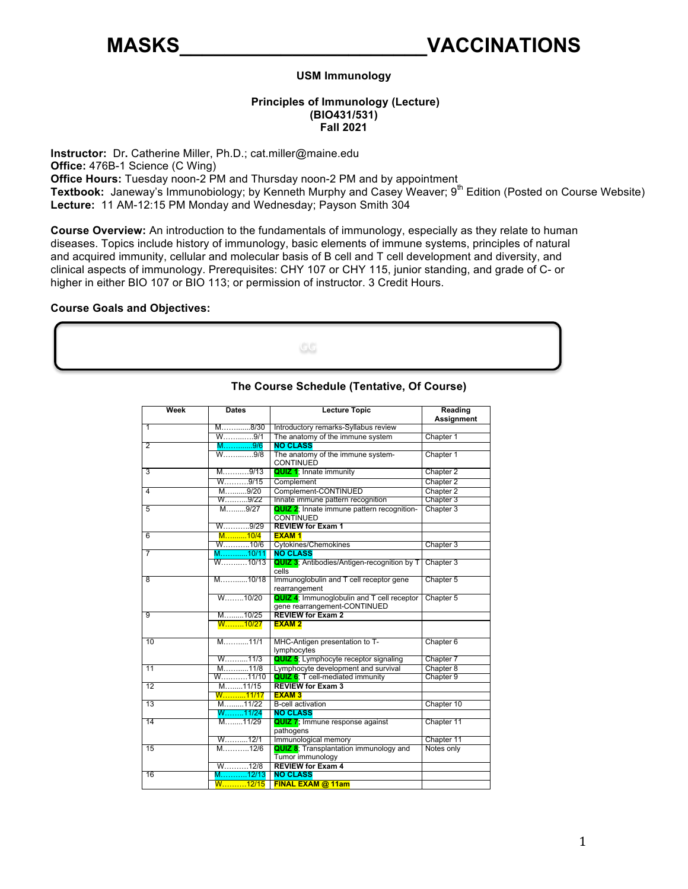### **USM Immunology**

# **Principles of Immunology (Lecture) (BIO431/531) Fall 2021**

 **Instructor:** Dr**.** Catherine Miller, Ph.D.; [cat.miller@maine.edu](mailto:cat.miller@maine.edu)  **Office Hours:** Tuesday noon-2 PM and Thursday noon-2 PM and by appointment Textbook: Janeway's Immunobiology; by Kenneth Murphy and Casey Weaver; 9<sup>th</sup> Edition (Posted on Course Website) **Lecture:** 11 AM-12:15 PM Monday and Wednesday; Payson Smith 304 **Office:** 476B-1 Science (C Wing)

 **Course Overview:** An introduction to the fundamentals of immunology, especially as they relate to human diseases. Topics include history of immunology, basic elements of immune systems, principles of natural and acquired immunity, cellular and molecular basis of B cell and T cell development and diversity, and clinical aspects of immunology. Prerequisites: CHY 107 or CHY 115, junior standing, and grade of C- or higher in either BIO 107 or BIO 113; or permission of instructor. 3 Credit Hours.

#### **Course Goals and Objectives:**



| Week           | <b>Dates</b>           | <b>Lecture Topic</b>                                                               | Reading<br>Assignment |
|----------------|------------------------|------------------------------------------------------------------------------------|-----------------------|
| 1              | M8/30                  | Introductory remarks-Syllabus review                                               |                       |
|                | W9/1                   | The anatomy of the immune system                                                   | Chapter 1             |
| $\overline{2}$ | M…………9/6               | <b>NO CLASS</b>                                                                    |                       |
|                | W9/8                   | The anatomy of the immune system-<br>CONTINUED                                     | Chapter 1             |
| $\overline{3}$ | M9/13                  | <b>QUIZ 1; Innate immunity</b>                                                     | Chapter 2             |
|                | W……….9/15              | Complement                                                                         | Chapter 2             |
| 4              | M9/20                  | Complement-CONTINUED                                                               | Chapter 2             |
|                | W9/22                  | Innate immune pattern recognition                                                  | Chapter 3             |
| 5              | M9/27                  | <b>QUIZ 2:</b> Innate immune pattern recognition-<br><b>CONTINUED</b>              | Chapter 3             |
|                | W9/29                  | <b>REVIEW for Exam 1</b>                                                           |                       |
| 6              | M10/4                  | <b>EXAM1</b>                                                                       |                       |
|                | W10/6                  | <b>Cytokines/Chemokines</b>                                                        | Chapter 3             |
| $\overline{7}$ | M10/11                 | <b>NO CLASS</b>                                                                    |                       |
|                | $W_{1}, \ldots, 10/13$ | <b>QUIZ 3</b> ; Antibodies/Antigen-recognition by T<br>cells                       | Chapter 3             |
| 8              | M10/18                 | Immunoglobulin and T cell receptor gene<br>rearrangement                           | Chapter 5             |
|                | W10/20                 | <b>QUIZ 4</b> ; Immunoglobulin and T cell receptor<br>gene rearrangement-CONTINUED | Chapter 5             |
| 9              | M10/25                 | <b>REVIEW for Exam 2</b>                                                           |                       |
|                | W10/27                 | <b>EXAM2</b>                                                                       |                       |
| 10             | M11/1                  | MHC-Antigen presentation to T-<br>lymphocytes                                      | Chapter 6             |
|                | W11/3                  | <b>QUIZ 5:</b> Lymphocyte receptor signaling                                       | Chapter 7             |
| 11             | M11/8                  | Lymphocyte development and survival                                                | Chapter 8             |
|                | W11/10                 | <b>QUIZ 6:</b> T cell-mediated immunity                                            | Chapter 9             |
| 12             | M11/15                 | <b>REVIEW for Exam 3</b>                                                           |                       |
|                |                        | <b>EXAM3</b>                                                                       |                       |
| 13             | M………11/22<br>W………11/24 | <b>B-cell activation</b>                                                           | Chapter 10            |
|                |                        | <b>NO CLASS</b>                                                                    |                       |
| 14             | M11/29                 | <b>QUIZ 7;</b> Immune response against<br>pathogens                                | Chapter 11            |
|                | W12/1                  | Immunological memory                                                               | Chapter 11            |
| 15             | M12/6                  | <b>QUIZ 8:</b> Transplantation immunology and<br>Tumor immunology                  | Notes only            |
|                | $W$ 12/8               | <b>REVIEW for Exam 4</b>                                                           |                       |
| 16             | M…………12/13             | <b>NO CLASS</b>                                                                    |                       |
|                | W12/15                 | FINAL EXAM @ 11am                                                                  |                       |

## **The Course Schedule (Tentative, Of Course)**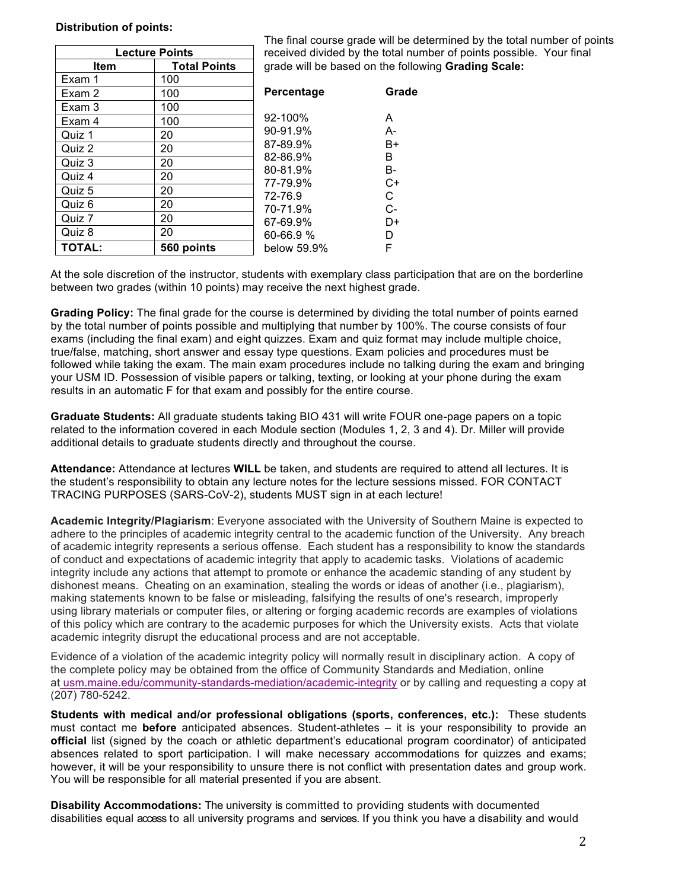#### **Distribution of points:**

| <b>Lecture Points</b> | received o          |                                                                                                                     |
|-----------------------|---------------------|---------------------------------------------------------------------------------------------------------------------|
| <b>Item</b>           | <b>Total Points</b> | grade will                                                                                                          |
| Exam 1                | 100                 |                                                                                                                     |
| Exam 2                | 100                 | <b>Percenta</b>                                                                                                     |
| Exam 3                | 100                 | 92-100%<br>90-91.9%<br>87-89.9%<br>82-86.9%<br>80-81.9%<br>77-79.9%<br>72-76.9<br>70-71.9%<br>67-69.9%<br>60-66.9 % |
| Exam 4                | 100                 |                                                                                                                     |
| Quiz 1                | 20                  |                                                                                                                     |
| Quiz 2                | 20                  |                                                                                                                     |
| Quiz 3                | 20                  |                                                                                                                     |
| Quiz 4                | 20                  |                                                                                                                     |
| Quiz 5                | 20                  |                                                                                                                     |
| Quiz 6                | 20                  |                                                                                                                     |
| Quiz 7                | 20                  |                                                                                                                     |
| Quiz 8                | 20                  |                                                                                                                     |
| <b>TOTAL:</b>         | 560 points          | below 59.                                                                                                           |

 The final course grade will be determined by the total number of points received divided by the total number of points possible. Your final  grade will be based on the following **Grading Scale:** 

| Percentage   | Grade |
|--------------|-------|
| $92 - 100\%$ | А     |
| 90-91.9%     | А-    |
| 87-89.9%     | В+    |
| 82-86.9%     | R     |
| 80-81.9%     | в-    |
| 77-79.9%     | C+    |
| 72-76.9      | C     |
| 70-71.9%     | C-    |
| 67-69.9%     | D+    |
| 60-66.9 %    | D     |
| below 59.9%  | F     |

 At the sole discretion of the instructor, students with exemplary class participation that are on the borderline between two grades (within 10 points) may receive the next highest grade.

 **Grading Policy:** The final grade for the course is determined by dividing the total number of points earned by the total number of points possible and multiplying that number by 100%. The course consists of four exams (including the final exam) and eight quizzes. Exam and quiz format may include multiple choice, results in an automatic F for that exam and possibly for the entire course. true/false, matching, short answer and essay type questions. Exam policies and procedures must be followed while taking the exam. The main exam procedures include no talking during the exam and bringing your USM ID. Possession of visible papers or talking, texting, or looking at your phone during the exam

 **Graduate Students:** All graduate students taking BIO 431 will write FOUR one-page papers on a topic related to the information covered in each Module section (Modules 1, 2, 3 and 4). Dr. Miller will provide additional details to graduate students directly and throughout the course.

 the student's responsibility to obtain any lecture notes for the lecture sessions missed. FOR CONTACT TRACING PURPOSES (SARS-CoV-2), students MUST sign in at each lecture! **Attendance:** Attendance at lectures **WILL** be taken, and students are required to attend all lectures. It is

 adhere to the principles of academic integrity central to the academic function of the University. Any breach of academic integrity represents a serious offense. Each student has a responsibility to know the standards of conduct and expectations of academic integrity that apply to academic tasks. Violations of academic integrity include any actions that attempt to promote or enhance the academic standing of any student by making statements known to be false or misleading, falsifying the results of one's research, improperly using library materials or computer files, or altering or forging academic records are examples of violations of this policy which are contrary to the academic purposes for which the University exists. Acts that violate academic integrity disrupt the educational process and are not acceptable. **Academic Integrity/Plagiarism**: Everyone associated with the University of Southern Maine is expected to dishonest means. Cheating on an examination, stealing the words or ideas of another (i.e., plagiarism),

 Evidence of a violation of the academic integrity policy will normally result in disciplinary action. A copy of at [usm.maine.edu/community-standards-mediation/academic-integrity](https://usm.maine.edu/community-standards-mediation/academic-integrity) or by calling and requesting a copy at the complete policy may be obtained from the office of Community Standards and Mediation, online (207) 780-5242.

 **Students with medical and/or professional obligations (sports, conferences, etc.):** These students must contact me **before** anticipated absences. Student-athletes – it is your responsibility to provide an **official** list (signed by the coach or athletic department's educational program coordinator) of anticipated absences related to sport participation. I will make necessary accommodations for quizzes and exams; however, it will be your responsibility to unsure there is not conflict with presentation dates and group work. You will be responsible for all material presented if you are absent.

 **Disability Accommodations:** The university is committed to providing students with documented disabilities equal access to all university programs and services. If you think you have a disability and would